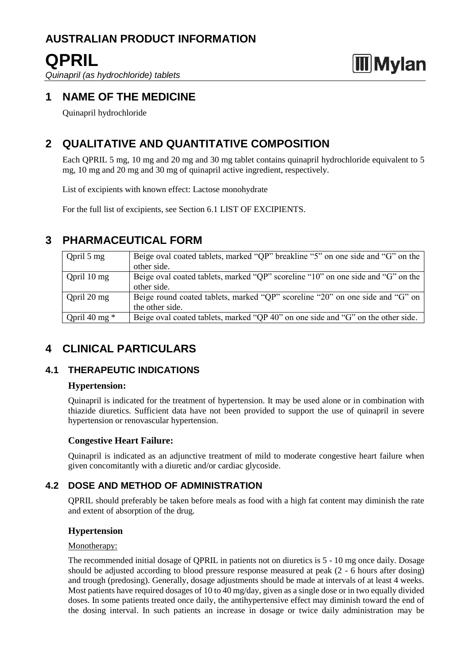## **QPRIL**

*Quinapril (as hydrochloride) tablets*

# **Mylan**

### **1 NAME OF THE MEDICINE**

Quinapril hydrochloride

### **2 QUALITATIVE AND QUANTITATIVE COMPOSITION**

Each QPRIL 5 mg, 10 mg and 20 mg and 30 mg tablet contains quinapril hydrochloride equivalent to 5 mg, 10 mg and 20 mg and 30 mg of quinapril active ingredient, respectively.

List of excipients with known effect: Lactose monohydrate

For the full list of excipients, see Section 6.1 LIST OF EXCIPIENTS.

### **3 PHARMACEUTICAL FORM**

| Opril $5 \text{ mg}$  | Beige oval coated tablets, marked "QP" breakline "5" on one side and "G" on the  |
|-----------------------|----------------------------------------------------------------------------------|
|                       | other side.                                                                      |
| Opril $10 \text{ mg}$ | Beige oval coated tablets, marked "QP" scoreline "10" on one side and "G" on the |
|                       | other side.                                                                      |
| Opril $20 \text{ mg}$ | Beige round coated tablets, marked "QP" scoreline "20" on one side and "G" on    |
|                       | the other side.                                                                  |
| Qpril 40 mg $*$       | Beige oval coated tablets, marked "QP 40" on one side and "G" on the other side. |

### **4 CLINICAL PARTICULARS**

### **4.1 THERAPEUTIC INDICATIONS**

### **Hypertension:**

Quinapril is indicated for the treatment of hypertension. It may be used alone or in combination with thiazide diuretics. Sufficient data have not been provided to support the use of quinapril in severe hypertension or renovascular hypertension.

### **Congestive Heart Failure:**

Quinapril is indicated as an adjunctive treatment of mild to moderate congestive heart failure when given concomitantly with a diuretic and/or cardiac glycoside.

### **4.2 DOSE AND METHOD OF ADMINISTRATION**

QPRIL should preferably be taken before meals as food with a high fat content may diminish the rate and extent of absorption of the drug.

### **Hypertension**

### Monotherapy:

The recommended initial dosage of QPRIL in patients not on diuretics is 5 - 10 mg once daily. Dosage should be adjusted according to blood pressure response measured at peak (2 - 6 hours after dosing) and trough (predosing). Generally, dosage adjustments should be made at intervals of at least 4 weeks. Most patients have required dosages of 10 to 40 mg/day, given as a single dose or in two equally divided doses. In some patients treated once daily, the antihypertensive effect may diminish toward the end of the dosing interval. In such patients an increase in dosage or twice daily administration may be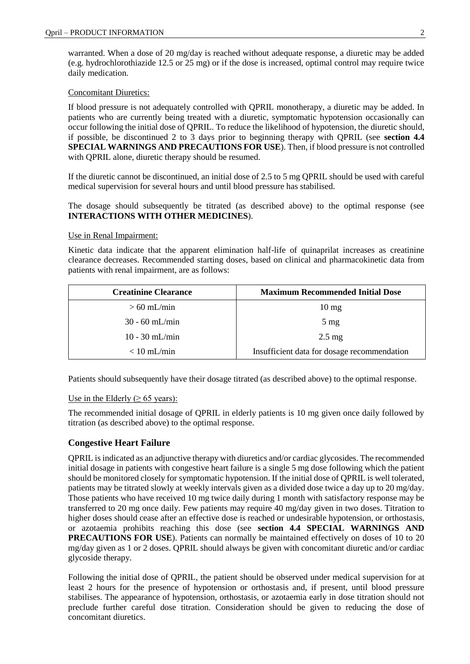warranted. When a dose of 20 mg/day is reached without adequate response, a diuretic may be added (e.g. hydrochlorothiazide 12.5 or 25 mg) or if the dose is increased, optimal control may require twice daily medication.

### Concomitant Diuretics:

If blood pressure is not adequately controlled with QPRIL monotherapy, a diuretic may be added. In patients who are currently being treated with a diuretic, symptomatic hypotension occasionally can occur following the initial dose of QPRIL. To reduce the likelihood of hypotension, the diuretic should, if possible, be discontinued 2 to 3 days prior to beginning therapy with QPRIL (see **section 4.4 SPECIAL WARNINGS AND PRECAUTIONS FOR USE**). Then, if blood pressure is not controlled with QPRIL alone, diuretic therapy should be resumed.

If the diuretic cannot be discontinued, an initial dose of 2.5 to 5 mg QPRIL should be used with careful medical supervision for several hours and until blood pressure has stabilised.

The dosage should subsequently be titrated (as described above) to the optimal response (see **INTERACTIONS WITH OTHER MEDICINES**).

#### Use in Renal Impairment:

Kinetic data indicate that the apparent elimination half-life of quinaprilat increases as creatinine clearance decreases. Recommended starting doses, based on clinical and pharmacokinetic data from patients with renal impairment, are as follows:

| <b>Creatinine Clearance</b> | <b>Maximum Recommended Initial Dose</b>     |
|-----------------------------|---------------------------------------------|
| $> 60$ mL/min               | $10 \text{ mg}$                             |
| $30 - 60$ mL/min            | $5 \text{ mg}$                              |
| $10 - 30$ mL/min            | $2.5 \text{ mg}$                            |
| $< 10$ mL/min               | Insufficient data for dosage recommendation |

Patients should subsequently have their dosage titrated (as described above) to the optimal response.

#### Use in the Elderly ( $\geq 65$  years):

The recommended initial dosage of QPRIL in elderly patients is 10 mg given once daily followed by titration (as described above) to the optimal response.

### **Congestive Heart Failure**

QPRIL is indicated as an adjunctive therapy with diuretics and/or cardiac glycosides. The recommended initial dosage in patients with congestive heart failure is a single 5 mg dose following which the patient should be monitored closely for symptomatic hypotension. If the initial dose of QPRIL is well tolerated, patients may be titrated slowly at weekly intervals given as a divided dose twice a day up to 20 mg/day. Those patients who have received 10 mg twice daily during 1 month with satisfactory response may be transferred to 20 mg once daily. Few patients may require 40 mg/day given in two doses. Titration to higher doses should cease after an effective dose is reached or undesirable hypotension, or orthostasis, or azotaemia prohibits reaching this dose (see **section 4.4 SPECIAL WARNINGS AND PRECAUTIONS FOR USE**). Patients can normally be maintained effectively on doses of 10 to 20 mg/day given as 1 or 2 doses. QPRIL should always be given with concomitant diuretic and/or cardiac glycoside therapy.

Following the initial dose of QPRIL, the patient should be observed under medical supervision for at least 2 hours for the presence of hypotension or orthostasis and, if present, until blood pressure stabilises. The appearance of hypotension, orthostasis, or azotaemia early in dose titration should not preclude further careful dose titration. Consideration should be given to reducing the dose of concomitant diuretics.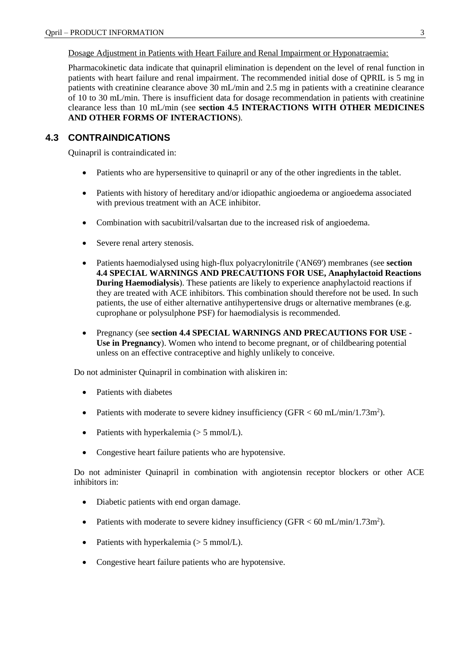Dosage Adjustment in Patients with Heart Failure and Renal Impairment or Hyponatraemia:

Pharmacokinetic data indicate that quinapril elimination is dependent on the level of renal function in patients with heart failure and renal impairment. The recommended initial dose of QPRIL is 5 mg in patients with creatinine clearance above 30 mL/min and 2.5 mg in patients with a creatinine clearance of 10 to 30 mL/min. There is insufficient data for dosage recommendation in patients with creatinine clearance less than 10 mL/min (see **section 4.5 INTERACTIONS WITH OTHER MEDICINES AND OTHER FORMS OF INTERACTIONS**).

### **4.3 CONTRAINDICATIONS**

Quinapril is contraindicated in:

- Patients who are hypersensitive to quinapril or any of the other ingredients in the tablet.
- Patients with history of hereditary and/or idiopathic angioedema or angioedema associated with previous treatment with an ACE inhibitor.
- Combination with sacubitril/valsartan due to the increased risk of angioedema.
- Severe renal artery stenosis.
- Patients haemodialysed using high-flux polyacrylonitrile ('AN69') membranes (see **section 4.4 SPECIAL WARNINGS AND PRECAUTIONS FOR USE, Anaphylactoid Reactions During Haemodialysis**). These patients are likely to experience anaphylactoid reactions if they are treated with ACE inhibitors. This combination should therefore not be used. In such patients, the use of either alternative antihypertensive drugs or alternative membranes (e.g. cuprophane or polysulphone PSF) for haemodialysis is recommended.
- Pregnancy (see **section 4.4 SPECIAL WARNINGS AND PRECAUTIONS FOR USE - Use in Pregnancy**). Women who intend to become pregnant, or of childbearing potential unless on an effective contraceptive and highly unlikely to conceive.

Do not administer Quinapril in combination with aliskiren in:

- Patients with diabetes
- Patients with moderate to severe kidney insufficiency (GFR  $<$  60 mL/min/1.73m<sup>2</sup>).
- Patients with hyperkalemia  $(> 5 \text{ mmol/L}).$
- Congestive heart failure patients who are hypotensive.

Do not administer Quinapril in combination with angiotensin receptor blockers or other ACE inhibitors in:

- Diabetic patients with end organ damage.
- Patients with moderate to severe kidney insufficiency (GFR < 60 mL/min/1.73m<sup>2</sup>).
- Patients with hyperkalemia  $(> 5 \text{ mmol/L}).$
- Congestive heart failure patients who are hypotensive.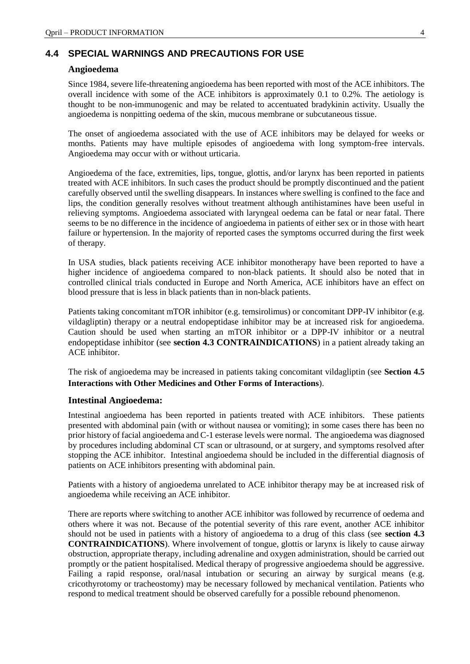### **4.4 SPECIAL WARNINGS AND PRECAUTIONS FOR USE**

### **Angioedema**

Since 1984, severe life-threatening angioedema has been reported with most of the ACE inhibitors. The overall incidence with some of the ACE inhibitors is approximately 0.1 to 0.2%. The aetiology is thought to be non-immunogenic and may be related to accentuated bradykinin activity. Usually the angioedema is nonpitting oedema of the skin, mucous membrane or subcutaneous tissue.

The onset of angioedema associated with the use of ACE inhibitors may be delayed for weeks or months. Patients may have multiple episodes of angioedema with long symptom-free intervals. Angioedema may occur with or without urticaria.

Angioedema of the face, extremities, lips, tongue, glottis, and/or larynx has been reported in patients treated with ACE inhibitors. In such cases the product should be promptly discontinued and the patient carefully observed until the swelling disappears. In instances where swelling is confined to the face and lips, the condition generally resolves without treatment although antihistamines have been useful in relieving symptoms. Angioedema associated with laryngeal oedema can be fatal or near fatal. There seems to be no difference in the incidence of angioedema in patients of either sex or in those with heart failure or hypertension. In the majority of reported cases the symptoms occurred during the first week of therapy.

In USA studies, black patients receiving ACE inhibitor monotherapy have been reported to have a higher incidence of angioedema compared to non-black patients. It should also be noted that in controlled clinical trials conducted in Europe and North America, ACE inhibitors have an effect on blood pressure that is less in black patients than in non-black patients.

Patients taking concomitant mTOR inhibitor (e.g. temsirolimus) or concomitant DPP-IV inhibitor (e.g. vildagliptin) therapy or a neutral endopeptidase inhibitor may be at increased risk for angioedema. Caution should be used when starting an mTOR inhibitor or a DPP-IV inhibitor or a neutral endopeptidase inhibitor (see **section 4.3 CONTRAINDICATIONS**) in a patient already taking an ACE inhibitor.

The risk of angioedema may be increased in patients taking concomitant vildagliptin (see **Section 4.5 Interactions with Other Medicines and Other Forms of Interactions**).

### **Intestinal Angioedema:**

Intestinal angioedema has been reported in patients treated with ACE inhibitors. These patients presented with abdominal pain (with or without nausea or vomiting); in some cases there has been no prior history of facial angioedema and C-1 esterase levels were normal. The angioedema was diagnosed by procedures including abdominal CT scan or ultrasound, or at surgery, and symptoms resolved after stopping the ACE inhibitor. Intestinal angioedema should be included in the differential diagnosis of patients on ACE inhibitors presenting with abdominal pain.

Patients with a history of angioedema unrelated to ACE inhibitor therapy may be at increased risk of angioedema while receiving an ACE inhibitor.

There are reports where switching to another ACE inhibitor was followed by recurrence of oedema and others where it was not. Because of the potential severity of this rare event, another ACE inhibitor should not be used in patients with a history of angioedema to a drug of this class (see **section 4.3 CONTRAINDICATIONS**). Where involvement of tongue, glottis or larynx is likely to cause airway obstruction, appropriate therapy, including adrenaline and oxygen administration, should be carried out promptly or the patient hospitalised. Medical therapy of progressive angioedema should be aggressive. Failing a rapid response, oral/nasal intubation or securing an airway by surgical means (e.g. cricothyrotomy or tracheostomy) may be necessary followed by mechanical ventilation. Patients who respond to medical treatment should be observed carefully for a possible rebound phenomenon.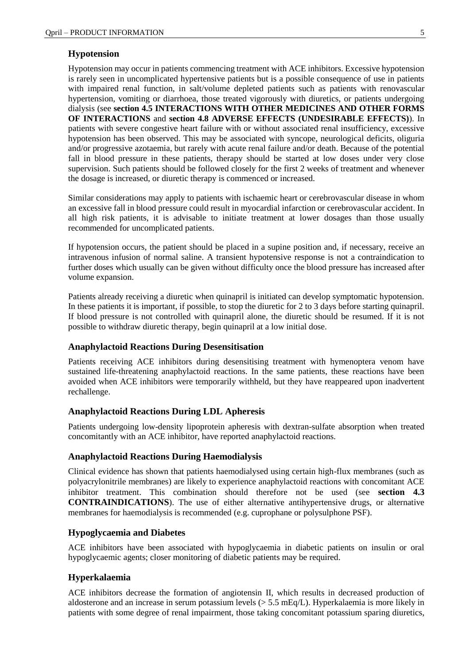#### **Hypotension**

Hypotension may occur in patients commencing treatment with ACE inhibitors. Excessive hypotension is rarely seen in uncomplicated hypertensive patients but is a possible consequence of use in patients with impaired renal function, in salt/volume depleted patients such as patients with renovascular hypertension, vomiting or diarrhoea, those treated vigorously with diuretics, or patients undergoing dialysis (see **section 4.5 INTERACTIONS WITH OTHER MEDICINES AND OTHER FORMS OF INTERACTIONS** and **section 4.8 ADVERSE EFFECTS (UNDESIRABLE EFFECTS)**). In patients with severe congestive heart failure with or without associated renal insufficiency, excessive hypotension has been observed. This may be associated with syncope, neurological deficits, oliguria and/or progressive azotaemia, but rarely with acute renal failure and/or death. Because of the potential fall in blood pressure in these patients, therapy should be started at low doses under very close supervision. Such patients should be followed closely for the first 2 weeks of treatment and whenever the dosage is increased, or diuretic therapy is commenced or increased.

Similar considerations may apply to patients with ischaemic heart or cerebrovascular disease in whom an excessive fall in blood pressure could result in myocardial infarction or cerebrovascular accident. In all high risk patients, it is advisable to initiate treatment at lower dosages than those usually recommended for uncomplicated patients.

If hypotension occurs, the patient should be placed in a supine position and, if necessary, receive an intravenous infusion of normal saline. A transient hypotensive response is not a contraindication to further doses which usually can be given without difficulty once the blood pressure has increased after volume expansion.

Patients already receiving a diuretic when quinapril is initiated can develop symptomatic hypotension. In these patients it is important, if possible, to stop the diuretic for 2 to 3 days before starting quinapril. If blood pressure is not controlled with quinapril alone, the diuretic should be resumed. If it is not possible to withdraw diuretic therapy, begin quinapril at a low initial dose.

#### **Anaphylactoid Reactions During Desensitisation**

Patients receiving ACE inhibitors during desensitising treatment with hymenoptera venom have sustained life-threatening anaphylactoid reactions. In the same patients, these reactions have been avoided when ACE inhibitors were temporarily withheld, but they have reappeared upon inadvertent rechallenge.

### **Anaphylactoid Reactions During LDL Apheresis**

Patients undergoing low-density lipoprotein apheresis with dextran-sulfate absorption when treated concomitantly with an ACE inhibitor, have reported anaphylactoid reactions.

### **Anaphylactoid Reactions During Haemodialysis**

Clinical evidence has shown that patients haemodialysed using certain high-flux membranes (such as polyacrylonitrile membranes) are likely to experience anaphylactoid reactions with concomitant ACE inhibitor treatment. This combination should therefore not be used (see **section 4.3 CONTRAINDICATIONS**). The use of either alternative antihypertensive drugs, or alternative membranes for haemodialysis is recommended (e.g. cuprophane or polysulphone PSF).

### **Hypoglycaemia and Diabetes**

ACE inhibitors have been associated with hypoglycaemia in diabetic patients on insulin or oral hypoglycaemic agents; closer monitoring of diabetic patients may be required.

### **Hyperkalaemia**

ACE inhibitors decrease the formation of angiotensin II, which results in decreased production of aldosterone and an increase in serum potassium levels (> 5.5 mEq/L). Hyperkalaemia is more likely in patients with some degree of renal impairment, those taking concomitant potassium sparing diuretics,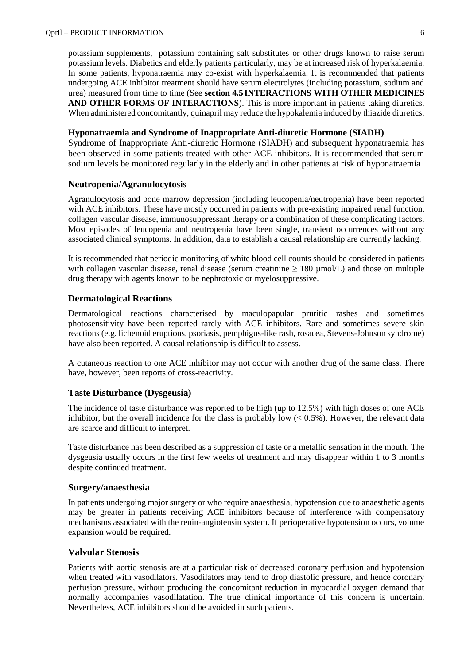potassium supplements, potassium containing salt substitutes or other drugs known to raise serum potassium levels. Diabetics and elderly patients particularly, may be at increased risk of hyperkalaemia. In some patients, hyponatraemia may co-exist with hyperkalaemia. It is recommended that patients undergoing ACE inhibitor treatment should have serum electrolytes (including potassium, sodium and urea) measured from time to time (See **section 4.5 INTERACTIONS WITH OTHER MEDICINES AND OTHER FORMS OF INTERACTIONS**). This is more important in patients taking diuretics. When administered concomitantly, quinapril may reduce the hypokalemia induced by thiazide diuretics.

### **Hyponatraemia and Syndrome of Inappropriate Anti-diuretic Hormone (SIADH)**

Syndrome of Inappropriate Anti-diuretic Hormone (SIADH) and subsequent hyponatraemia has been observed in some patients treated with other ACE inhibitors. It is recommended that serum sodium levels be monitored regularly in the elderly and in other patients at risk of hyponatraemia

#### **Neutropenia/Agranulocytosis**

Agranulocytosis and bone marrow depression (including leucopenia/neutropenia) have been reported with ACE inhibitors. These have mostly occurred in patients with pre-existing impaired renal function, collagen vascular disease, immunosuppressant therapy or a combination of these complicating factors. Most episodes of leucopenia and neutropenia have been single, transient occurrences without any associated clinical symptoms. In addition, data to establish a causal relationship are currently lacking.

It is recommended that periodic monitoring of white blood cell counts should be considered in patients with collagen vascular disease, renal disease (serum creatinine  $\geq 180 \mu$  mol/L) and those on multiple drug therapy with agents known to be nephrotoxic or myelosuppressive.

#### **Dermatological Reactions**

Dermatological reactions characterised by maculopapular pruritic rashes and sometimes photosensitivity have been reported rarely with ACE inhibitors. Rare and sometimes severe skin reactions (e.g. lichenoid eruptions, psoriasis, pemphigus-like rash, rosacea, Stevens-Johnson syndrome) have also been reported. A causal relationship is difficult to assess.

A cutaneous reaction to one ACE inhibitor may not occur with another drug of the same class. There have, however, been reports of cross-reactivity.

#### **Taste Disturbance (Dysgeusia)**

The incidence of taste disturbance was reported to be high (up to 12.5%) with high doses of one ACE inhibitor, but the overall incidence for the class is probably low  $( $0.5\%$ ). However, the relevant data$ are scarce and difficult to interpret.

Taste disturbance has been described as a suppression of taste or a metallic sensation in the mouth. The dysgeusia usually occurs in the first few weeks of treatment and may disappear within 1 to 3 months despite continued treatment.

### **Surgery/anaesthesia**

In patients undergoing major surgery or who require anaesthesia, hypotension due to anaesthetic agents may be greater in patients receiving ACE inhibitors because of interference with compensatory mechanisms associated with the renin-angiotensin system. If perioperative hypotension occurs, volume expansion would be required.

### **Valvular Stenosis**

Patients with aortic stenosis are at a particular risk of decreased coronary perfusion and hypotension when treated with vasodilators. Vasodilators may tend to drop diastolic pressure, and hence coronary perfusion pressure, without producing the concomitant reduction in myocardial oxygen demand that normally accompanies vasodilatation. The true clinical importance of this concern is uncertain. Nevertheless, ACE inhibitors should be avoided in such patients.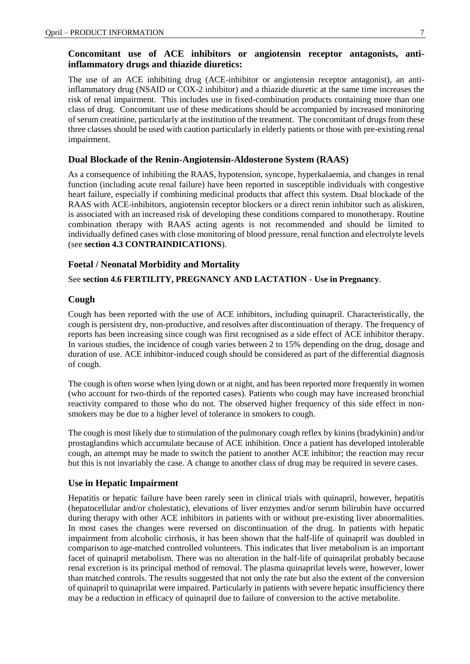### **Concomitant use of ACE inhibitors or angiotensin receptor antagonists, antiinflammatory drugs and thiazide diuretics:**

The use of an ACE inhibiting drug (ACE-inhibitor or angiotensin receptor antagonist), an antiinflammatory drug (NSAID or COX-2 inhibitor) and a thiazide diuretic at the same time increases the risk of renal impairment. This includes use in fixed-combination products containing more than one class of drug. Concomitant use of these medications should be accompanied by increased monitoring of serum creatinine, particularly at the institution of the treatment. The concomitant of drugs from these three classes should be used with caution particularly in elderly patients or those with pre-existing renal impairment.

### **Dual Blockade of the Renin-Angiotensin-Aldosterone System (RAAS)**

As a consequence of inhibiting the RAAS, hypotension, syncope, hyperkalaemia, and changes in renal function (including acute renal failure) have been reported in susceptible individuals with congestive heart failure, especially if combining medicinal products that affect this system. Dual blockade of the RAAS with ACE-inhibitors, angiotensin receptor blockers or a direct renin inhibitor such as aliskiren, is associated with an increased risk of developing these conditions compared to monotherapy. Routine combination therapy with RAAS acting agents is not recommended and should be limited to individually defined cases with close monitoring of blood pressure, renal function and electrolyte levels (see **section 4.3 CONTRAINDICATIONS**).

### **Foetal / Neonatal Morbidity and Mortality**

### See **section 4.6 FERTILITY, PREGNANCY AND LACTATION - Use in Pregnancy**.

### **Cough**

Cough has been reported with the use of ACE inhibitors, including quinapril. Characteristically, the cough is persistent dry, non-productive, and resolves after discontinuation of therapy. The frequency of reports has been increasing since cough was first recognised as a side effect of ACE inhibitor therapy. In various studies, the incidence of cough varies between 2 to 15% depending on the drug, dosage and duration of use. ACE inhibitor-induced cough should be considered as part of the differential diagnosis of cough.

The cough is often worse when lying down or at night, and has been reported more frequently in women (who account for two-thirds of the reported cases). Patients who cough may have increased bronchial reactivity compared to those who do not. The observed higher frequency of this side effect in nonsmokers may be due to a higher level of tolerance in smokers to cough.

The cough is most likely due to stimulation of the pulmonary cough reflex by kinins (bradykinin) and/or prostaglandins which accumulate because of ACE inhibition. Once a patient has developed intolerable cough, an attempt may be made to switch the patient to another ACE inhibitor; the reaction may recur but this is not invariably the case. A change to another class of drug may be required in severe cases.

#### **Use in Hepatic Impairment**

Hepatitis or hepatic failure have been rarely seen in clinical trials with quinapril, however, hepatitis (hepatocellular and/or cholestatic), elevations of liver enzymes and/or serum bilirubin have occurred during therapy with other ACE inhibitors in patients with or without pre-existing liver abnormalities. In most cases the changes were reversed on discontinuation of the drug. In patients with hepatic impairment from alcoholic cirrhosis, it has been shown that the half-life of quinapril was doubled in comparison to age-matched controlled volunteers. This indicates that liver metabolism is an important facet of quinapril metabolism. There was no alteration in the half-life of quinaprilat probably because renal excretion is its principal method of removal. The plasma quinaprilat levels were, however, lower than matched controls. The results suggested that not only the rate but also the extent of the conversion of quinapril to quinaprilat were impaired. Particularly in patients with severe hepatic insufficiency there may be a reduction in efficacy of quinapril due to failure of conversion to the active metabolite.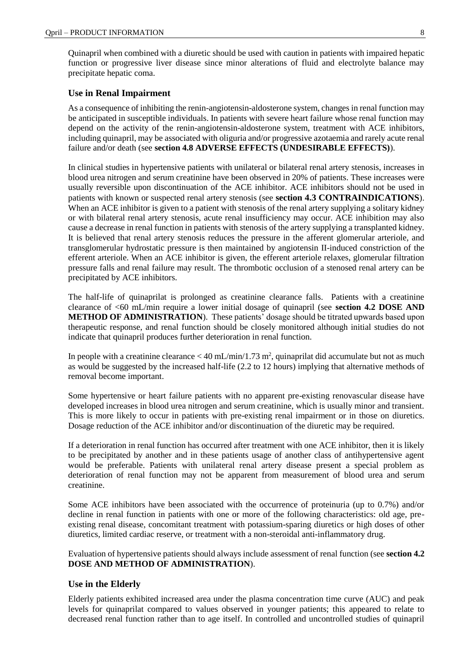Quinapril when combined with a diuretic should be used with caution in patients with impaired hepatic function or progressive liver disease since minor alterations of fluid and electrolyte balance may precipitate hepatic coma.

### **Use in Renal Impairment**

As a consequence of inhibiting the renin-angiotensin-aldosterone system, changes in renal function may be anticipated in susceptible individuals. In patients with severe heart failure whose renal function may depend on the activity of the renin-angiotensin-aldosterone system, treatment with ACE inhibitors, including quinapril, may be associated with oliguria and/or progressive azotaemia and rarely acute renal failure and/or death (see **section 4.8 ADVERSE EFFECTS (UNDESIRABLE EFFECTS)**).

In clinical studies in hypertensive patients with unilateral or bilateral renal artery stenosis, increases in blood urea nitrogen and serum creatinine have been observed in 20% of patients. These increases were usually reversible upon discontinuation of the ACE inhibitor. ACE inhibitors should not be used in patients with known or suspected renal artery stenosis (see **section 4.3 CONTRAINDICATIONS**). When an ACE inhibitor is given to a patient with stenosis of the renal artery supplying a solitary kidney or with bilateral renal artery stenosis, acute renal insufficiency may occur. ACE inhibition may also cause a decrease in renal function in patients with stenosis of the artery supplying a transplanted kidney. It is believed that renal artery stenosis reduces the pressure in the afferent glomerular arteriole, and transglomerular hydrostatic pressure is then maintained by angiotensin II-induced constriction of the efferent arteriole. When an ACE inhibitor is given, the efferent arteriole relaxes, glomerular filtration pressure falls and renal failure may result. The thrombotic occlusion of a stenosed renal artery can be precipitated by ACE inhibitors.

The half-life of quinaprilat is prolonged as creatinine clearance falls. Patients with a creatinine clearance of <60 mL/min require a lower initial dosage of quinapril (see **section 4.2 DOSE AND METHOD OF ADMINISTRATION**). These patients' dosage should be titrated upwards based upon therapeutic response, and renal function should be closely monitored although initial studies do not indicate that quinapril produces further deterioration in renal function.

In people with a creatinine clearance  $<$  40 mL/min/1.73 m<sup>2</sup>, quinaprilat did accumulate but not as much as would be suggested by the increased half-life (2.2 to 12 hours) implying that alternative methods of removal become important.

Some hypertensive or heart failure patients with no apparent pre-existing renovascular disease have developed increases in blood urea nitrogen and serum creatinine, which is usually minor and transient. This is more likely to occur in patients with pre-existing renal impairment or in those on diuretics. Dosage reduction of the ACE inhibitor and/or discontinuation of the diuretic may be required.

If a deterioration in renal function has occurred after treatment with one ACE inhibitor, then it is likely to be precipitated by another and in these patients usage of another class of antihypertensive agent would be preferable. Patients with unilateral renal artery disease present a special problem as deterioration of renal function may not be apparent from measurement of blood urea and serum creatinine.

Some ACE inhibitors have been associated with the occurrence of proteinuria (up to 0.7%) and/or decline in renal function in patients with one or more of the following characteristics: old age, preexisting renal disease, concomitant treatment with potassium-sparing diuretics or high doses of other diuretics, limited cardiac reserve, or treatment with a non-steroidal anti-inflammatory drug.

Evaluation of hypertensive patients should always include assessment of renal function (see **section 4.2 DOSE AND METHOD OF ADMINISTRATION**).

#### **Use in the Elderly**

Elderly patients exhibited increased area under the plasma concentration time curve (AUC) and peak levels for quinaprilat compared to values observed in younger patients; this appeared to relate to decreased renal function rather than to age itself. In controlled and uncontrolled studies of quinapril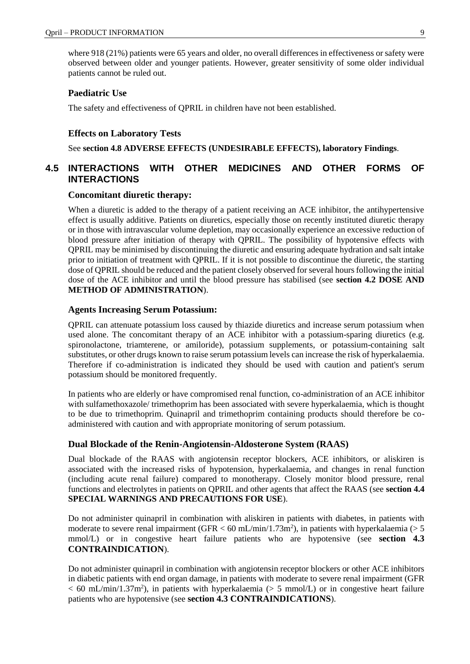where 918 (21%) patients were 65 years and older, no overall differences in effectiveness or safety were observed between older and younger patients. However, greater sensitivity of some older individual patients cannot be ruled out.

### **Paediatric Use**

The safety and effectiveness of QPRIL in children have not been established.

### **Effects on Laboratory Tests**

See **section 4.8 ADVERSE EFFECTS (UNDESIRABLE EFFECTS), laboratory Findings**.

### **4.5 INTERACTIONS WITH OTHER MEDICINES AND OTHER FORMS OF INTERACTIONS**

### **Concomitant diuretic therapy:**

When a diuretic is added to the therapy of a patient receiving an ACE inhibitor, the antihypertensive effect is usually additive. Patients on diuretics, especially those on recently instituted diuretic therapy or in those with intravascular volume depletion, may occasionally experience an excessive reduction of blood pressure after initiation of therapy with QPRIL. The possibility of hypotensive effects with QPRIL may be minimised by discontinuing the diuretic and ensuring adequate hydration and salt intake prior to initiation of treatment with QPRIL. If it is not possible to discontinue the diuretic, the starting dose of QPRIL should be reduced and the patient closely observed for several hours following the initial dose of the ACE inhibitor and until the blood pressure has stabilised (see **section 4.2 DOSE AND METHOD OF ADMINISTRATION**).

#### **Agents Increasing Serum Potassium:**

QPRIL can attenuate potassium loss caused by thiazide diuretics and increase serum potassium when used alone. The concomitant therapy of an ACE inhibitor with a potassium-sparing diuretics (e.g. spironolactone, triamterene, or amiloride), potassium supplements, or potassium-containing salt substitutes, or other drugs known to raise serum potassium levels can increase the risk of hyperkalaemia. Therefore if co-administration is indicated they should be used with caution and patient's serum potassium should be monitored frequently.

In patients who are elderly or have compromised renal function, co-administration of an ACE inhibitor with sulfamethoxazole/ trimethoprim has been associated with severe hyperkalaemia, which is thought to be due to trimethoprim. Quinapril and trimethoprim containing products should therefore be coadministered with caution and with appropriate monitoring of serum potassium.

#### **Dual Blockade of the Renin-Angiotensin-Aldosterone System (RAAS)**

Dual blockade of the RAAS with angiotensin receptor blockers, ACE inhibitors, or aliskiren is associated with the increased risks of hypotension, hyperkalaemia, and changes in renal function (including acute renal failure) compared to monotherapy. Closely monitor blood pressure, renal functions and electrolytes in patients on QPRIL and other agents that affect the RAAS (see **section 4.4 SPECIAL WARNINGS AND PRECAUTIONS FOR USE**).

Do not administer quinapril in combination with aliskiren in patients with diabetes, in patients with moderate to severe renal impairment (GFR  $<$  60 mL/min/1.73m<sup>2</sup>), in patients with hyperkalaemia ( $>$  5 mmol/L) or in congestive heart failure patients who are hypotensive (see **section 4.3 CONTRAINDICATION**).

Do not administer quinapril in combination with angiotensin receptor blockers or other ACE inhibitors in diabetic patients with end organ damage, in patients with moderate to severe renal impairment (GFR  $<$  60 mL/min/1.37m<sup>2</sup>), in patients with hyperkalaemia ( $>$  5 mmol/L) or in congestive heart failure patients who are hypotensive (see **section 4.3 CONTRAINDICATIONS**).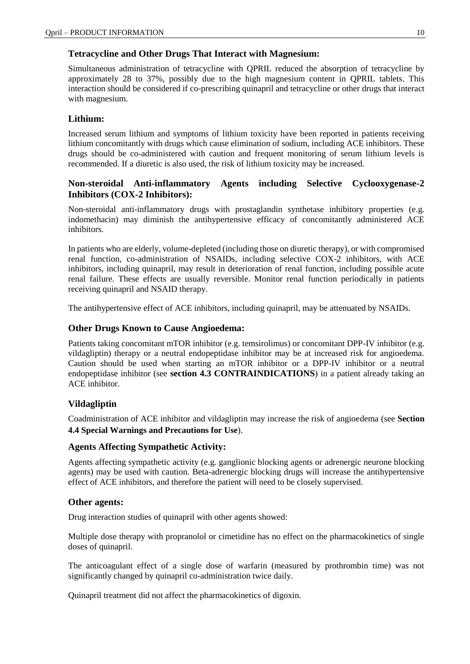### **Tetracycline and Other Drugs That Interact with Magnesium:**

Simultaneous administration of tetracycline with QPRIL reduced the absorption of tetracycline by approximately 28 to 37%, possibly due to the high magnesium content in QPRIL tablets. This interaction should be considered if co-prescribing quinapril and tetracycline or other drugs that interact with magnesium.

### **Lithium:**

Increased serum lithium and symptoms of lithium toxicity have been reported in patients receiving lithium concomitantly with drugs which cause elimination of sodium, including ACE inhibitors. These drugs should be co-administered with caution and frequent monitoring of serum lithium levels is recommended. If a diuretic is also used, the risk of lithium toxicity may be increased.

### **Non-steroidal Anti-inflammatory Agents including Selective Cyclooxygenase-2 Inhibitors (COX-2 Inhibitors):**

Non-steroidal anti-inflammatory drugs with prostaglandin synthetase inhibitory properties (e.g. indomethacin) may diminish the antihypertensive efficacy of concomitantly administered ACE inhibitors.

In patients who are elderly, volume-depleted (including those on diuretic therapy), or with compromised renal function, co-administration of NSAIDs, including selective COX-2 inhibitors, with ACE inhibitors, including quinapril, may result in deterioration of renal function, including possible acute renal failure. These effects are usually reversible. Monitor renal function periodically in patients receiving quinapril and NSAID therapy.

The antihypertensive effect of ACE inhibitors, including quinapril, may be attenuated by NSAIDs.

### **Other Drugs Known to Cause Angioedema:**

Patients taking concomitant mTOR inhibitor (e.g. temsirolimus) or concomitant DPP-IV inhibitor (e.g. vildagliptin) therapy or a neutral endopeptidase inhibitor may be at increased risk for angioedema. Caution should be used when starting an mTOR inhibitor or a DPP-IV inhibitor or a neutral endopeptidase inhibitor (see **section 4.3 CONTRAINDICATIONS**) in a patient already taking an ACE inhibitor.

### **Vildagliptin**

Coadministration of ACE inhibitor and vildagliptin may increase the risk of angioedema (see **Section 4.4 Special Warnings and Precautions for Use**).

### **Agents Affecting Sympathetic Activity:**

Agents affecting sympathetic activity (e.g. ganglionic blocking agents or adrenergic neurone blocking agents) may be used with caution. Beta-adrenergic blocking drugs will increase the antihypertensive effect of ACE inhibitors, and therefore the patient will need to be closely supervised.

### **Other agents:**

Drug interaction studies of quinapril with other agents showed:

Multiple dose therapy with propranolol or cimetidine has no effect on the pharmacokinetics of single doses of quinapril.

The anticoagulant effect of a single dose of warfarin (measured by prothrombin time) was not significantly changed by quinapril co-administration twice daily.

Quinapril treatment did not affect the pharmacokinetics of digoxin.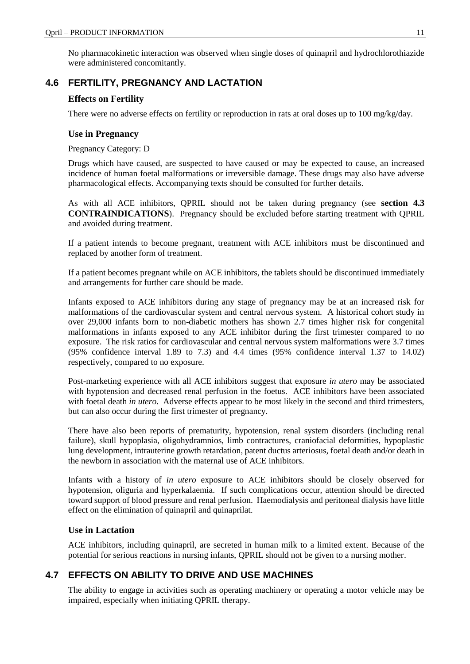No pharmacokinetic interaction was observed when single doses of quinapril and hydrochlorothiazide were administered concomitantly.

### **4.6 FERTILITY, PREGNANCY AND LACTATION**

### **Effects on Fertility**

There were no adverse effects on fertility or reproduction in rats at oral doses up to 100 mg/kg/day.

### **Use in Pregnancy**

### Pregnancy Category: D

Drugs which have caused, are suspected to have caused or may be expected to cause, an increased incidence of human foetal malformations or irreversible damage. These drugs may also have adverse pharmacological effects. Accompanying texts should be consulted for further details.

As with all ACE inhibitors, QPRIL should not be taken during pregnancy (see **section 4.3 CONTRAINDICATIONS**). Pregnancy should be excluded before starting treatment with QPRIL and avoided during treatment.

If a patient intends to become pregnant, treatment with ACE inhibitors must be discontinued and replaced by another form of treatment.

If a patient becomes pregnant while on ACE inhibitors, the tablets should be discontinued immediately and arrangements for further care should be made.

Infants exposed to ACE inhibitors during any stage of pregnancy may be at an increased risk for malformations of the cardiovascular system and central nervous system. A historical cohort study in over 29,000 infants born to non-diabetic mothers has shown 2.7 times higher risk for congenital malformations in infants exposed to any ACE inhibitor during the first trimester compared to no exposure. The risk ratios for cardiovascular and central nervous system malformations were 3.7 times (95% confidence interval 1.89 to 7.3) and 4.4 times (95% confidence interval 1.37 to 14.02) respectively, compared to no exposure.

Post-marketing experience with all ACE inhibitors suggest that exposure *in utero* may be associated with hypotension and decreased renal perfusion in the foetus. ACE inhibitors have been associated with foetal death *in utero*. Adverse effects appear to be most likely in the second and third trimesters, but can also occur during the first trimester of pregnancy.

There have also been reports of prematurity, hypotension, renal system disorders (including renal failure), skull hypoplasia, oligohydramnios, limb contractures, craniofacial deformities, hypoplastic lung development, intrauterine growth retardation, patent ductus arteriosus, foetal death and/or death in the newborn in association with the maternal use of ACE inhibitors.

Infants with a history of *in utero* exposure to ACE inhibitors should be closely observed for hypotension, oliguria and hyperkalaemia. If such complications occur, attention should be directed toward support of blood pressure and renal perfusion. Haemodialysis and peritoneal dialysis have little effect on the elimination of quinapril and quinaprilat.

### **Use in Lactation**

ACE inhibitors, including quinapril, are secreted in human milk to a limited extent. Because of the potential for serious reactions in nursing infants, QPRIL should not be given to a nursing mother.

### **4.7 EFFECTS ON ABILITY TO DRIVE AND USE MACHINES**

The ability to engage in activities such as operating machinery or operating a motor vehicle may be impaired, especially when initiating QPRIL therapy.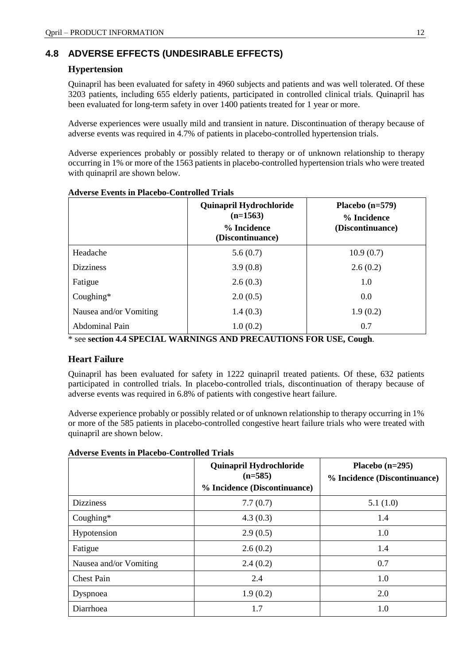### **4.8 ADVERSE EFFECTS (UNDESIRABLE EFFECTS)**

### **Hypertension**

Quinapril has been evaluated for safety in 4960 subjects and patients and was well tolerated. Of these 3203 patients, including 655 elderly patients, participated in controlled clinical trials. Quinapril has been evaluated for long-term safety in over 1400 patients treated for 1 year or more.

Adverse experiences were usually mild and transient in nature. Discontinuation of therapy because of adverse events was required in 4.7% of patients in placebo-controlled hypertension trials.

Adverse experiences probably or possibly related to therapy or of unknown relationship to therapy occurring in 1% or more of the 1563 patients in placebo-controlled hypertension trials who were treated with quinapril are shown below.

|                        | Quinapril Hydrochloride<br>$(n=1563)$<br>% Incidence<br>(Discontinuance) | Placebo $(n=579)$<br>% Incidence<br>(Discontinuance) |
|------------------------|--------------------------------------------------------------------------|------------------------------------------------------|
| Headache               | 5.6(0.7)                                                                 | 10.9(0.7)                                            |
| <b>Dizziness</b>       | 3.9(0.8)                                                                 | 2.6(0.2)                                             |
| Fatigue                | 2.6(0.3)                                                                 | 1.0                                                  |
| Coughing $*$           | 2.0(0.5)                                                                 | 0.0                                                  |
| Nausea and/or Vomiting | 1.4(0.3)                                                                 | 1.9(0.2)                                             |
| Abdominal Pain         | 1.0(0.2)                                                                 | 0.7                                                  |

### **Adverse Events in Placebo-Controlled Trials**

\* see **section 4.4 SPECIAL WARNINGS AND PRECAUTIONS FOR USE, Cough**.

### **Heart Failure**

Quinapril has been evaluated for safety in 1222 quinapril treated patients. Of these, 632 patients participated in controlled trials. In placebo-controlled trials, discontinuation of therapy because of adverse events was required in 6.8% of patients with congestive heart failure.

Adverse experience probably or possibly related or of unknown relationship to therapy occurring in 1% or more of the 585 patients in placebo-controlled congestive heart failure trials who were treated with quinapril are shown below.

|                        | Quinapril Hydrochloride<br>$(n=585)$<br>% Incidence (Discontinuance) | Placebo $(n=295)$<br>% Incidence (Discontinuance) |
|------------------------|----------------------------------------------------------------------|---------------------------------------------------|
| <b>Dizziness</b>       | 7.7(0.7)                                                             | 5.1(1.0)                                          |
| Coughing $*$           | 4.3(0.3)                                                             | 1.4                                               |
| Hypotension            | 2.9(0.5)                                                             | 1.0                                               |
| Fatigue                | 2.6(0.2)                                                             | 1.4                                               |
| Nausea and/or Vomiting | 2.4(0.2)                                                             | 0.7                                               |
| <b>Chest Pain</b>      | 2.4                                                                  | 1.0                                               |
| Dyspnoea               | 1.9(0.2)                                                             | 2.0                                               |
| Diarrhoea              | 1.7                                                                  | 1.0                                               |

### **Adverse Events in Placebo-Controlled Trials**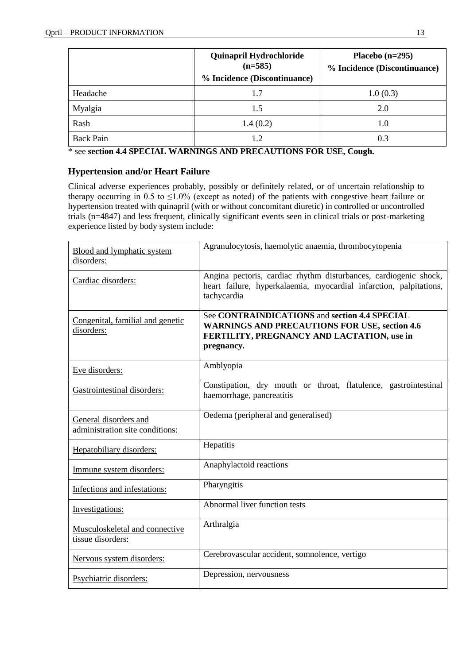|                  | <b>Quinapril Hydrochloride</b><br>$(n=585)$<br>% Incidence (Discontinuance) | Placebo $(n=295)$<br>% Incidence (Discontinuance) |
|------------------|-----------------------------------------------------------------------------|---------------------------------------------------|
| Headache         | 1.7                                                                         | 1.0(0.3)                                          |
| Myalgia          | 1.5                                                                         | 2.0                                               |
| Rash             | 1.4(0.2)                                                                    | 1.0                                               |
| <b>Back Pain</b> | 1.2                                                                         | 0.3                                               |

\* see **section 4.4 SPECIAL WARNINGS AND PRECAUTIONS FOR USE, Cough.**

### **Hypertension and/or Heart Failure**

Clinical adverse experiences probably, possibly or definitely related, or of uncertain relationship to therapy occurring in 0.5 to  $\leq$ 1.0% (except as noted) of the patients with congestive heart failure or hypertension treated with quinapril (with or without concomitant diuretic) in controlled or uncontrolled trials (n=4847) and less frequent, clinically significant events seen in clinical trials or post-marketing experience listed by body system include:

| Blood and lymphatic system<br>disorders:                 | Agranulocytosis, haemolytic anaemia, thrombocytopenia                                                                                                             |
|----------------------------------------------------------|-------------------------------------------------------------------------------------------------------------------------------------------------------------------|
| Cardiac disorders:                                       | Angina pectoris, cardiac rhythm disturbances, cardiogenic shock,<br>heart failure, hyperkalaemia, myocardial infarction, palpitations,<br>tachycardia             |
| Congenital, familial and genetic<br>disorders:           | See CONTRAINDICATIONS and section 4.4 SPECIAL<br><b>WARNINGS AND PRECAUTIONS FOR USE, section 4.6</b><br>FERTILITY, PREGNANCY AND LACTATION, use in<br>pregnancy. |
| Eye disorders:                                           | Amblyopia                                                                                                                                                         |
| Gastrointestinal disorders:                              | Constipation, dry mouth or throat, flatulence, gastrointestinal<br>haemorrhage, pancreatitis                                                                      |
| General disorders and<br>administration site conditions: | Oedema (peripheral and generalised)                                                                                                                               |
| Hepatobiliary disorders:                                 | Hepatitis                                                                                                                                                         |
| Immune system disorders:                                 | Anaphylactoid reactions                                                                                                                                           |
| Infections and infestations:                             | Pharyngitis                                                                                                                                                       |
| Investigations:                                          | Abnormal liver function tests                                                                                                                                     |
| Musculoskeletal and connective<br>tissue disorders:      | Arthralgia                                                                                                                                                        |
| Nervous system disorders:                                | Cerebrovascular accident, somnolence, vertigo                                                                                                                     |
| Psychiatric disorders:                                   | Depression, nervousness                                                                                                                                           |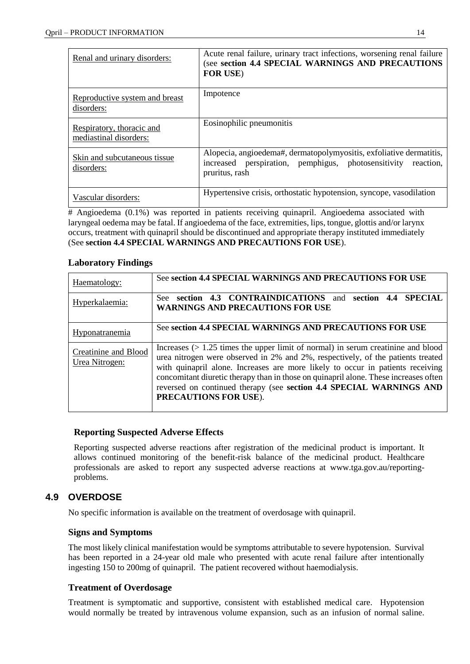| Renal and urinary disorders:                        | Acute renal failure, urinary tract infections, worsening renal failure<br>(see section 4.4 SPECIAL WARNINGS AND PRECAUTIONS<br><b>FOR USE)</b>         |
|-----------------------------------------------------|--------------------------------------------------------------------------------------------------------------------------------------------------------|
| Reproductive system and breast<br>disorders:        | Impotence                                                                                                                                              |
| Respiratory, thoracic and<br>mediastinal disorders: | Eosinophilic pneumonitis                                                                                                                               |
| Skin and subcutaneous tissue.<br>disorders:         | Alopecia, angioedema#, dermatopolymyositis, exfoliative dermatitis,<br>increased perspiration, pemphigus, photosensitivity reaction,<br>pruritus, rash |
| Vascular disorders:                                 | Hypertensive crisis, orthostatic hypotension, syncope, vasodilation                                                                                    |

# Angioedema (0.1%) was reported in patients receiving quinapril. Angioedema associated with laryngeal oedema may be fatal. If angioedema of the face, extremities, lips, tongue, glottis and/or larynx occurs, treatment with quinapril should be discontinued and appropriate therapy instituted immediately (See **section 4.4 SPECIAL WARNINGS AND PRECAUTIONS FOR USE**).

### **Laboratory Findings**

| Haematology:                                  | See section 4.4 SPECIAL WARNINGS AND PRECAUTIONS FOR USE                                                                                                                                                                                                                                                                                                                                                                                        |
|-----------------------------------------------|-------------------------------------------------------------------------------------------------------------------------------------------------------------------------------------------------------------------------------------------------------------------------------------------------------------------------------------------------------------------------------------------------------------------------------------------------|
| Hyperkalaemia:                                | section 4.3 CONTRAINDICATIONS and<br>4.4 SPECIAL<br>section<br>See:<br><b>WARNINGS AND PRECAUTIONS FOR USE</b>                                                                                                                                                                                                                                                                                                                                  |
| <b>Hyponatranemia</b>                         | See section 4.4 SPECIAL WARNINGS AND PRECAUTIONS FOR USE                                                                                                                                                                                                                                                                                                                                                                                        |
| <b>Creatinine and Blood</b><br>Urea Nitrogen: | Increases $(> 1.25$ times the upper limit of normal) in serum creatinine and blood<br>urea nitrogen were observed in 2% and 2%, respectively, of the patients treated<br>with quinapril alone. Increases are more likely to occur in patients receiving<br>concomitant diuretic therapy than in those on quinapril alone. These increases often<br>reversed on continued therapy (see section 4.4 SPECIAL WARNINGS AND<br>PRECAUTIONS FOR USE). |

### **Reporting Suspected Adverse Effects**

Reporting suspected adverse reactions after registration of the medicinal product is important. It allows continued monitoring of the benefit-risk balance of the medicinal product. Healthcare professionals are asked to report any suspected adverse reactions at [www.tga.gov.au/reporting](http://www.tga.gov.au/reporting-problems)[problems.](http://www.tga.gov.au/reporting-problems)

### **4.9 OVERDOSE**

No specific information is available on the treatment of overdosage with quinapril.

### **Signs and Symptoms**

The most likely clinical manifestation would be symptoms attributable to severe hypotension. Survival has been reported in a 24-year old male who presented with acute renal failure after intentionally ingesting 150 to 200mg of quinapril. The patient recovered without haemodialysis.

### **Treatment of Overdosage**

Treatment is symptomatic and supportive, consistent with established medical care. Hypotension would normally be treated by intravenous volume expansion, such as an infusion of normal saline.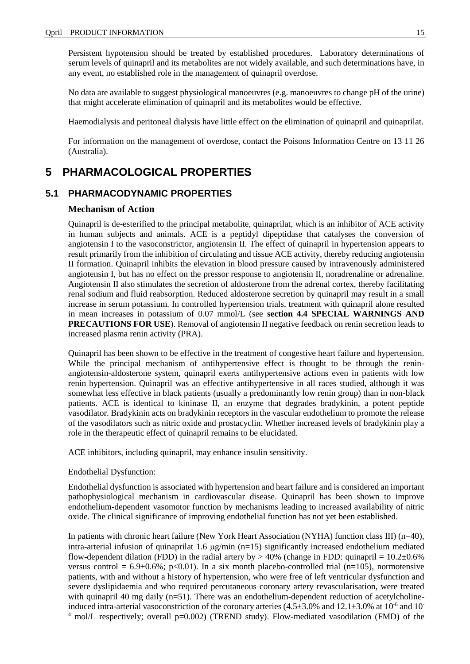Persistent hypotension should be treated by established procedures. Laboratory determinations of serum levels of quinapril and its metabolites are not widely available, and such determinations have, in any event, no established role in the management of quinapril overdose.

No data are available to suggest physiological manoeuvres (e.g. manoeuvres to change pH of the urine) that might accelerate elimination of quinapril and its metabolites would be effective.

Haemodialysis and peritoneal dialysis have little effect on the elimination of quinapril and quinaprilat.

For information on the management of overdose, contact the Poisons Information Centre on 13 11 26 (Australia).

### **5 PHARMACOLOGICAL PROPERTIES**

### **5.1 PHARMACODYNAMIC PROPERTIES**

#### **Mechanism of Action**

Quinapril is de-esterified to the principal metabolite, quinaprilat, which is an inhibitor of ACE activity in human subjects and animals. ACE is a peptidyl dipeptidase that catalyses the conversion of angiotensin I to the vasoconstrictor, angiotensin II. The effect of quinapril in hypertension appears to result primarily from the inhibition of circulating and tissue ACE activity, thereby reducing angiotensin II formation. Quinapril inhibits the elevation in blood pressure caused by intravenously administered angiotensin I, but has no effect on the pressor response to angiotensin II, noradrenaline or adrenaline. Angiotensin II also stimulates the secretion of aldosterone from the adrenal cortex, thereby facilitating renal sodium and fluid reabsorption. Reduced aldosterone secretion by quinapril may result in a small increase in serum potassium. In controlled hypertension trials, treatment with quinapril alone resulted in mean increases in potassium of 0.07 mmol/L (see **section 4.4 SPECIAL WARNINGS AND PRECAUTIONS FOR USE**). Removal of angiotensin II negative feedback on renin secretion leads to increased plasma renin activity (PRA).

Quinapril has been shown to be effective in the treatment of congestive heart failure and hypertension. While the principal mechanism of antihypertensive effect is thought to be through the reninangiotensin-aldosterone system, quinapril exerts antihypertensive actions even in patients with low renin hypertension. Quinapril was an effective antihypertensive in all races studied, although it was somewhat less effective in black patients (usually a predominantly low renin group) than in non-black patients. ACE is identical to kininase II, an enzyme that degrades bradykinin, a potent peptide vasodilator. Bradykinin acts on bradykinin receptors in the vascular endothelium to promote the release of the vasodilators such as nitric oxide and prostacyclin. Whether increased levels of bradykinin play a role in the therapeutic effect of quinapril remains to be elucidated.

ACE inhibitors, including quinapril, may enhance insulin sensitivity.

#### Endothelial Dysfunction:

Endothelial dysfunction is associated with hypertension and heart failure and is considered an important pathophysiological mechanism in cardiovascular disease. Quinapril has been shown to improve endothelium-dependent vasomotor function by mechanisms leading to increased availability of nitric oxide. The clinical significance of improving endothelial function has not yet been established.

In patients with chronic heart failure (New York Heart Association (NYHA) function class III) (n=40), intra-arterial infusion of quinaprilat 1.6  $\mu$ g/min (n=15) significantly increased endothelium mediated flow-dependent dilation (FDD) in the radial artery by  $> 40\%$  (change in FDD: quinapril = 10.2 $\pm$ 0.6%) versus control =  $6.9\pm0.6\%$ ; p<0.01). In a six month placebo-controlled trial (n=105), normotensive patients, with and without a history of hypertension, who were free of left ventricular dysfunction and severe dyslipidaemia and who required percutaneous coronary artery revascularisation, were treated with quinapril 40 mg daily (n=51). There was an endothelium-dependent reduction of acetylcholineinduced intra-arterial vasoconstriction of the coronary arteries  $(4.5\pm3.0\%$  and  $12.1\pm3.0\%$  at  $10^{-6}$  and  $10^{-7}$ <sup>4</sup> mol/L respectively; overall p=0.002) (TREND study). Flow-mediated vasodilation (FMD) of the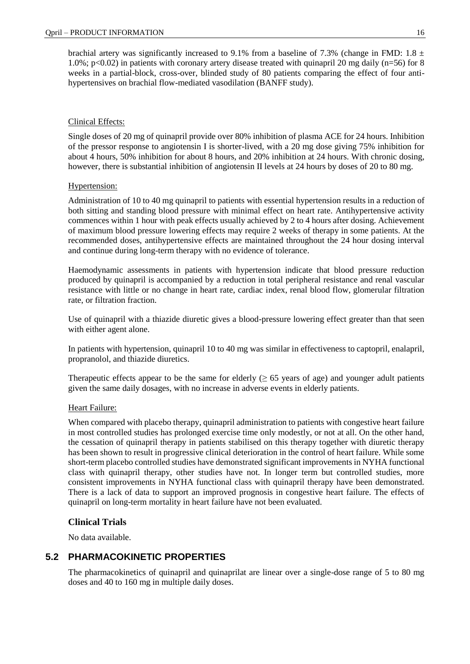brachial artery was significantly increased to 9.1% from a baseline of 7.3% (change in FMD: 1.8  $\pm$ 1.0%; p<0.02) in patients with coronary artery disease treated with quinapril 20 mg daily (n=56) for 8 weeks in a partial-block, cross-over, blinded study of 80 patients comparing the effect of four antihypertensives on brachial flow-mediated vasodilation (BANFF study).

### Clinical Effects:

Single doses of 20 mg of quinapril provide over 80% inhibition of plasma ACE for 24 hours. Inhibition of the pressor response to angiotensin I is shorter-lived, with a 20 mg dose giving 75% inhibition for about 4 hours, 50% inhibition for about 8 hours, and 20% inhibition at 24 hours. With chronic dosing, however, there is substantial inhibition of angiotensin II levels at 24 hours by doses of 20 to 80 mg.

### Hypertension:

Administration of 10 to 40 mg quinapril to patients with essential hypertension results in a reduction of both sitting and standing blood pressure with minimal effect on heart rate. Antihypertensive activity commences within 1 hour with peak effects usually achieved by 2 to 4 hours after dosing. Achievement of maximum blood pressure lowering effects may require 2 weeks of therapy in some patients. At the recommended doses, antihypertensive effects are maintained throughout the 24 hour dosing interval and continue during long-term therapy with no evidence of tolerance.

Haemodynamic assessments in patients with hypertension indicate that blood pressure reduction produced by quinapril is accompanied by a reduction in total peripheral resistance and renal vascular resistance with little or no change in heart rate, cardiac index, renal blood flow, glomerular filtration rate, or filtration fraction.

Use of quinapril with a thiazide diuretic gives a blood-pressure lowering effect greater than that seen with either agent alone.

In patients with hypertension, quinapril 10 to 40 mg was similar in effectiveness to captopril, enalapril, propranolol, and thiazide diuretics.

Therapeutic effects appear to be the same for elderly  $(≥ 65$  years of age) and younger adult patients given the same daily dosages, with no increase in adverse events in elderly patients.

### Heart Failure:

When compared with placebo therapy, quinapril administration to patients with congestive heart failure in most controlled studies has prolonged exercise time only modestly, or not at all. On the other hand, the cessation of quinapril therapy in patients stabilised on this therapy together with diuretic therapy has been shown to result in progressive clinical deterioration in the control of heart failure. While some short-term placebo controlled studies have demonstrated significant improvements in NYHA functional class with quinapril therapy, other studies have not. In longer term but controlled studies, more consistent improvements in NYHA functional class with quinapril therapy have been demonstrated. There is a lack of data to support an improved prognosis in congestive heart failure. The effects of quinapril on long-term mortality in heart failure have not been evaluated.

### **Clinical Trials**

No data available.

### **5.2 PHARMACOKINETIC PROPERTIES**

The pharmacokinetics of quinapril and quinaprilat are linear over a single-dose range of 5 to 80 mg doses and 40 to 160 mg in multiple daily doses.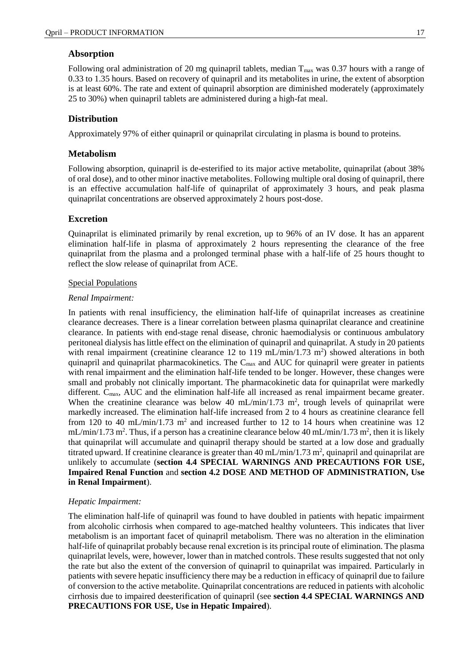### **Absorption**

Following oral administration of 20 mg quinapril tablets, median  $T_{\text{max}}$  was 0.37 hours with a range of 0.33 to 1.35 hours. Based on recovery of quinapril and its metabolites in urine, the extent of absorption is at least 60%. The rate and extent of quinapril absorption are diminished moderately (approximately 25 to 30%) when quinapril tablets are administered during a high-fat meal.

### **Distribution**

Approximately 97% of either quinapril or quinaprilat circulating in plasma is bound to proteins.

### **Metabolism**

Following absorption, quinapril is de-esterified to its major active metabolite, quinaprilat (about 38% of oral dose), and to other minor inactive metabolites. Following multiple oral dosing of quinapril, there is an effective accumulation half-life of quinaprilat of approximately 3 hours, and peak plasma quinaprilat concentrations are observed approximately 2 hours post-dose.

### **Excretion**

Quinaprilat is eliminated primarily by renal excretion, up to 96% of an IV dose. It has an apparent elimination half-life in plasma of approximately 2 hours representing the clearance of the free quinaprilat from the plasma and a prolonged terminal phase with a half-life of 25 hours thought to reflect the slow release of quinaprilat from ACE.

#### Special Populations

#### *Renal Impairment:*

In patients with renal insufficiency, the elimination half-life of quinaprilat increases as creatinine clearance decreases. There is a linear correlation between plasma quinaprilat clearance and creatinine clearance. In patients with end-stage renal disease, chronic haemodialysis or continuous ambulatory peritoneal dialysis has little effect on the elimination of quinapril and quinaprilat. A study in 20 patients with renal impairment (creatinine clearance 12 to 119 mL/min/1.73 m<sup>2</sup>) showed alterations in both quinapril and quinaprilat pharmacokinetics. The  $C_{\text{max}}$  and AUC for quinapril were greater in patients with renal impairment and the elimination half-life tended to be longer. However, these changes were small and probably not clinically important. The pharmacokinetic data for quinaprilat were markedly different. C<sub>max</sub>, AUC and the elimination half-life all increased as renal impairment became greater. When the creatinine clearance was below 40 mL/min/1.73  $m^2$ , trough levels of quinaprilat were markedly increased. The elimination half-life increased from 2 to 4 hours as creatinine clearance fell from 120 to 40 mL/min/1.73  $m^2$  and increased further to 12 to 14 hours when creatinine was 12  $mL/min/1.73 m<sup>2</sup>$ . Thus, if a person has a creatinine clearance below 40 mL/min/1.73 m<sup>2</sup>, then it is likely that quinaprilat will accumulate and quinapril therapy should be started at a low dose and gradually titrated upward. If creatinine clearance is greater than  $40 \text{ mL/min} / 1.73 \text{ m}^2$ , quinapril and quinaprilat are unlikely to accumulate (**section 4.4 SPECIAL WARNINGS AND PRECAUTIONS FOR USE, Impaired Renal Function** and **section 4.2 DOSE AND METHOD OF ADMINISTRATION, Use in Renal Impairment**).

#### *Hepatic Impairment:*

The elimination half-life of quinapril was found to have doubled in patients with hepatic impairment from alcoholic cirrhosis when compared to age-matched healthy volunteers. This indicates that liver metabolism is an important facet of quinapril metabolism. There was no alteration in the elimination half-life of quinaprilat probably because renal excretion is its principal route of elimination. The plasma quinaprilat levels, were, however, lower than in matched controls. These results suggested that not only the rate but also the extent of the conversion of quinapril to quinaprilat was impaired. Particularly in patients with severe hepatic insufficiency there may be a reduction in efficacy of quinapril due to failure of conversion to the active metabolite. Quinaprilat concentrations are reduced in patients with alcoholic cirrhosis due to impaired deesterification of quinapril (see **section 4.4 SPECIAL WARNINGS AND PRECAUTIONS FOR USE, Use in Hepatic Impaired**).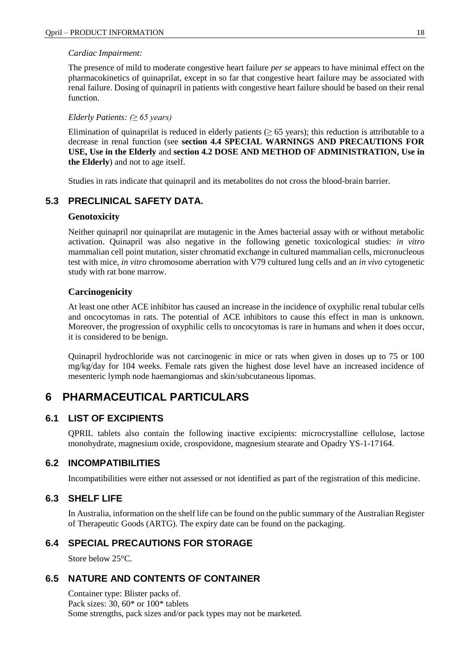### *Cardiac Impairment:*

The presence of mild to moderate congestive heart failure *per se* appears to have minimal effect on the pharmacokinetics of quinaprilat, except in so far that congestive heart failure may be associated with renal failure. Dosing of quinapril in patients with congestive heart failure should be based on their renal function.

#### *Elderly Patients: (≥ 65 years)*

Elimination of quinaprilat is reduced in elderly patients ( $\geq 65$  years); this reduction is attributable to a decrease in renal function (see **section 4.4 SPECIAL WARNINGS AND PRECAUTIONS FOR USE, Use in the Elderly** and **section 4.2 DOSE AND METHOD OF ADMINISTRATION, Use in the Elderly**) and not to age itself.

Studies in rats indicate that quinapril and its metabolites do not cross the blood-brain barrier.

### **5.3 PRECLINICAL SAFETY DATA.**

### **Genotoxicity**

Neither quinapril nor quinaprilat are mutagenic in the Ames bacterial assay with or without metabolic activation. Quinapril was also negative in the following genetic toxicological studies: *in vitro* mammalian cell point mutation, sister chromatid exchange in cultured mammalian cells, micronucleous test with mice, *in vitro* chromosome aberration with V79 cultured lung cells and an *in vivo* cytogenetic study with rat bone marrow.

### **Carcinogenicity**

At least one other ACE inhibitor has caused an increase in the incidence of oxyphilic renal tubular cells and oncocytomas in rats. The potential of ACE inhibitors to cause this effect in man is unknown. Moreover, the progression of oxyphilic cells to oncocytomas is rare in humans and when it does occur, it is considered to be benign.

Quinapril hydrochloride was not carcinogenic in mice or rats when given in doses up to 75 or 100 mg/kg/day for 104 weeks. Female rats given the highest dose level have an increased incidence of mesenteric lymph node haemangiomas and skin/subcutaneous lipomas.

### **6 PHARMACEUTICAL PARTICULARS**

### **6.1 LIST OF EXCIPIENTS**

QPRIL tablets also contain the following inactive excipients: microcrystalline cellulose, lactose monohydrate, magnesium oxide, crospovidone, magnesium stearate and Opadry YS-1-17164.

### **6.2 INCOMPATIBILITIES**

Incompatibilities were either not assessed or not identified as part of the registration of this medicine.

### **6.3 SHELF LIFE**

In Australia, information on the shelf life can be found on the public summary of the Australian Register of Therapeutic Goods (ARTG). The expiry date can be found on the packaging.

### **6.4 SPECIAL PRECAUTIONS FOR STORAGE**

Store below 25°C.

### **6.5 NATURE AND CONTENTS OF CONTAINER**

Container type: Blister packs of. Pack sizes: 30, 60\* or 100\* tablets Some strengths, pack sizes and/or pack types may not be marketed.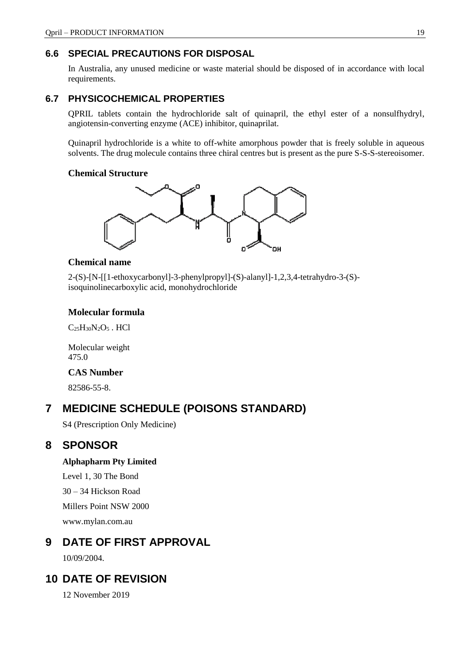### **6.6 SPECIAL PRECAUTIONS FOR DISPOSAL**

In Australia, any unused medicine or waste material should be disposed of in accordance with local requirements.

### **6.7 PHYSICOCHEMICAL PROPERTIES**

QPRIL tablets contain the hydrochloride salt of quinapril, the ethyl ester of a nonsulfhydryl, angiotensin-converting enzyme (ACE) inhibitor, quinaprilat.

Quinapril hydrochloride is a white to off-white amorphous powder that is freely soluble in aqueous solvents. The drug molecule contains three chiral centres but is present as the pure S-S-S-stereoisomer.

### **Chemical Structure**



### **Chemical name**

2-(S)-[N-[[1-ethoxycarbonyl]-3-phenylpropyl]-(S)-alanyl]-1,2,3,4-tetrahydro-3-(S) isoquinolinecarboxylic acid, monohydrochloride

### **Molecular formula**

 $C_{25}H_{30}N_2O_5$ . HCl

Molecular weight 475.0

### **CAS Number**

82586-55-8.

### **7 MEDICINE SCHEDULE (POISONS STANDARD)**

S4 (Prescription Only Medicine)

### **8 SPONSOR**

### **Alphapharm Pty Limited**

Level 1, 30 The Bond 30 – 34 Hickson Road Millers Point NSW 2000

[www.mylan.com.au](http://www.mylan.com.au/)

### **9 DATE OF FIRST APPROVAL**

10/09/2004.

### **10 DATE OF REVISION**

12 November 2019